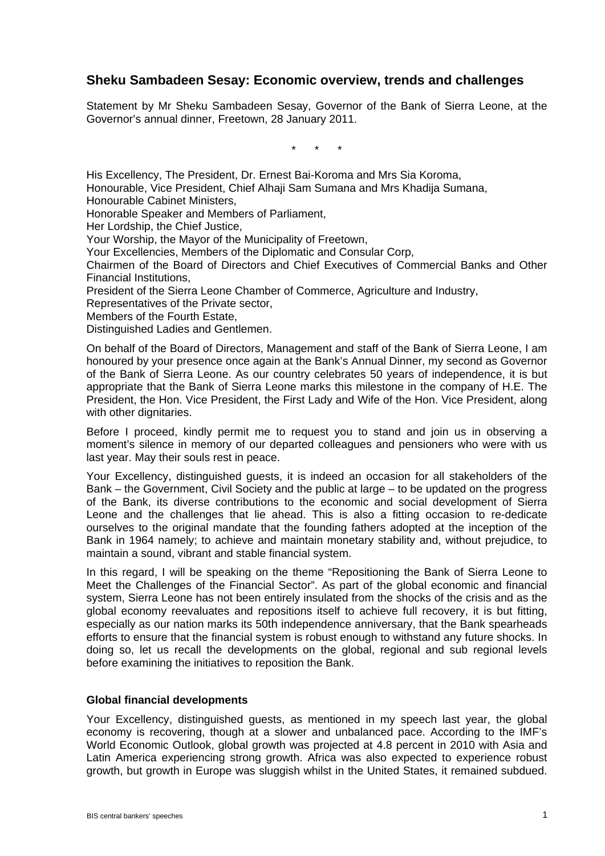# **Sheku Sambadeen Sesay: Economic overview, trends and challenges**

Statement by Mr Sheku Sambadeen Sesay, Governor of the Bank of Sierra Leone, at the Governor's annual dinner, Freetown, 28 January 2011.

\* \* \*

His Excellency, The President, Dr. Ernest Bai-Koroma and Mrs Sia Koroma, Honourable, Vice President, Chief Alhaji Sam Sumana and Mrs Khadija Sumana, Honourable Cabinet Ministers, Honorable Speaker and Members of Parliament, Her Lordship, the Chief Justice, Your Worship, the Mayor of the Municipality of Freetown, Your Excellencies, Members of the Diplomatic and Consular Corp, Chairmen of the Board of Directors and Chief Executives of Commercial Banks and Other Financial Institutions, President of the Sierra Leone Chamber of Commerce, Agriculture and Industry, Representatives of the Private sector,

Members of the Fourth Estate,

Distinguished Ladies and Gentlemen.

On behalf of the Board of Directors, Management and staff of the Bank of Sierra Leone, I am honoured by your presence once again at the Bank's Annual Dinner, my second as Governor of the Bank of Sierra Leone. As our country celebrates 50 years of independence, it is but appropriate that the Bank of Sierra Leone marks this milestone in the company of H.E. The President, the Hon. Vice President, the First Lady and Wife of the Hon. Vice President, along with other dignitaries.

Before I proceed, kindly permit me to request you to stand and join us in observing a moment's silence in memory of our departed colleagues and pensioners who were with us last year. May their souls rest in peace.

Your Excellency, distinguished guests, it is indeed an occasion for all stakeholders of the Bank – the Government, Civil Society and the public at large – to be updated on the progress of the Bank, its diverse contributions to the economic and social development of Sierra Leone and the challenges that lie ahead. This is also a fitting occasion to re-dedicate ourselves to the original mandate that the founding fathers adopted at the inception of the Bank in 1964 namely; to achieve and maintain monetary stability and, without prejudice, to maintain a sound, vibrant and stable financial system.

In this regard, I will be speaking on the theme "Repositioning the Bank of Sierra Leone to Meet the Challenges of the Financial Sector". As part of the global economic and financial system, Sierra Leone has not been entirely insulated from the shocks of the crisis and as the global economy reevaluates and repositions itself to achieve full recovery, it is but fitting, especially as our nation marks its 50th independence anniversary, that the Bank spearheads efforts to ensure that the financial system is robust enough to withstand any future shocks. In doing so, let us recall the developments on the global, regional and sub regional levels before examining the initiatives to reposition the Bank.

#### **Global financial developments**

Your Excellency, distinguished guests, as mentioned in my speech last year, the global economy is recovering, though at a slower and unbalanced pace. According to the IMF's World Economic Outlook, global growth was projected at 4.8 percent in 2010 with Asia and Latin America experiencing strong growth. Africa was also expected to experience robust growth, but growth in Europe was sluggish whilst in the United States, it remained subdued.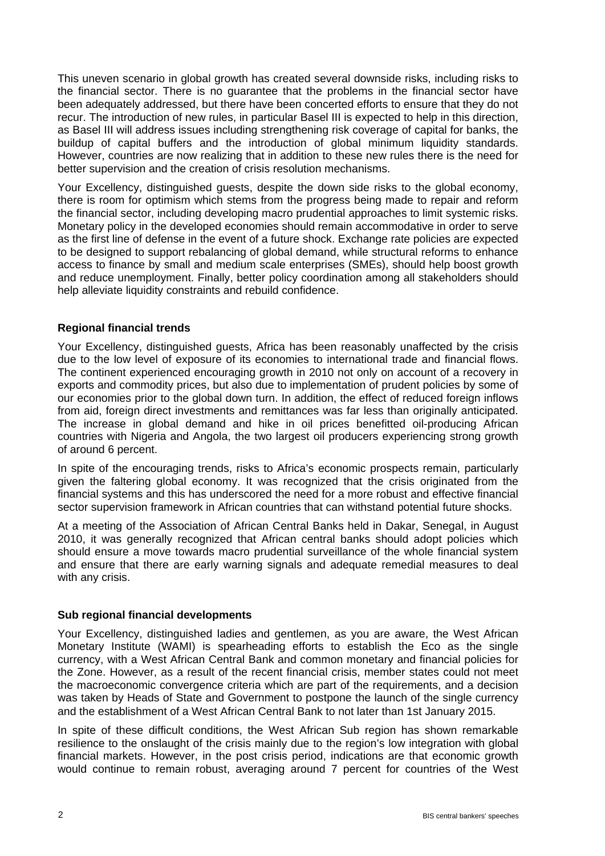This uneven scenario in global growth has created several downside risks, including risks to the financial sector. There is no guarantee that the problems in the financial sector have been adequately addressed, but there have been concerted efforts to ensure that they do not recur. The introduction of new rules, in particular Basel III is expected to help in this direction, as Basel III will address issues including strengthening risk coverage of capital for banks, the buildup of capital buffers and the introduction of global minimum liquidity standards. However, countries are now realizing that in addition to these new rules there is the need for better supervision and the creation of crisis resolution mechanisms.

Your Excellency, distinguished guests, despite the down side risks to the global economy, there is room for optimism which stems from the progress being made to repair and reform the financial sector, including developing macro prudential approaches to limit systemic risks. Monetary policy in the developed economies should remain accommodative in order to serve as the first line of defense in the event of a future shock. Exchange rate policies are expected to be designed to support rebalancing of global demand, while structural reforms to enhance access to finance by small and medium scale enterprises (SMEs), should help boost growth and reduce unemployment. Finally, better policy coordination among all stakeholders should help alleviate liquidity constraints and rebuild confidence.

# **Regional financial trends**

Your Excellency, distinguished guests, Africa has been reasonably unaffected by the crisis due to the low level of exposure of its economies to international trade and financial flows. The continent experienced encouraging growth in 2010 not only on account of a recovery in exports and commodity prices, but also due to implementation of prudent policies by some of our economies prior to the global down turn. In addition, the effect of reduced foreign inflows from aid, foreign direct investments and remittances was far less than originally anticipated. The increase in global demand and hike in oil prices benefitted oil-producing African countries with Nigeria and Angola, the two largest oil producers experiencing strong growth of around 6 percent.

In spite of the encouraging trends, risks to Africa's economic prospects remain, particularly given the faltering global economy. It was recognized that the crisis originated from the financial systems and this has underscored the need for a more robust and effective financial sector supervision framework in African countries that can withstand potential future shocks.

At a meeting of the Association of African Central Banks held in Dakar, Senegal, in August 2010, it was generally recognized that African central banks should adopt policies which should ensure a move towards macro prudential surveillance of the whole financial system and ensure that there are early warning signals and adequate remedial measures to deal with any crisis.

# **Sub regional financial developments**

Your Excellency, distinguished ladies and gentlemen, as you are aware, the West African Monetary Institute (WAMI) is spearheading efforts to establish the Eco as the single currency, with a West African Central Bank and common monetary and financial policies for the Zone. However, as a result of the recent financial crisis, member states could not meet the macroeconomic convergence criteria which are part of the requirements, and a decision was taken by Heads of State and Government to postpone the launch of the single currency and the establishment of a West African Central Bank to not later than 1st January 2015.

In spite of these difficult conditions, the West African Sub region has shown remarkable resilience to the onslaught of the crisis mainly due to the region's low integration with global financial markets. However, in the post crisis period, indications are that economic growth would continue to remain robust, averaging around 7 percent for countries of the West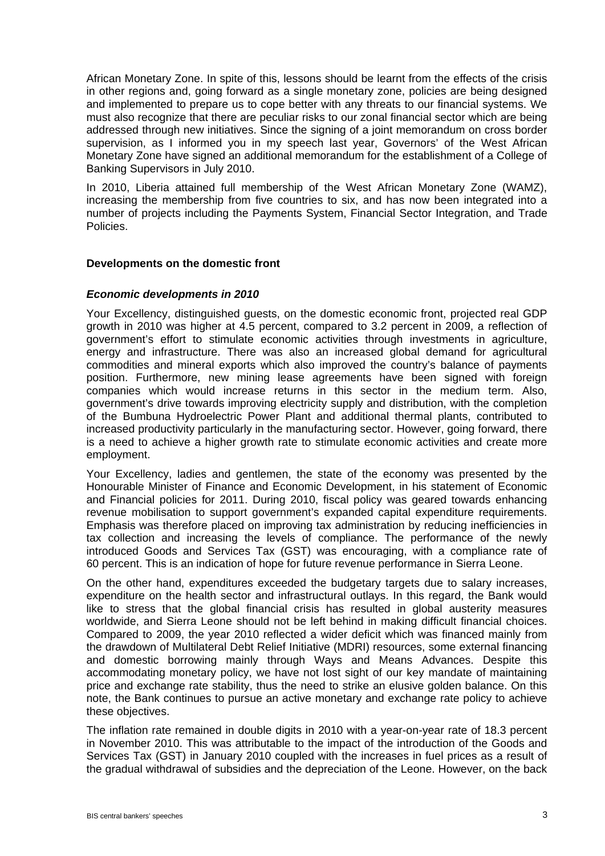African Monetary Zone. In spite of this, lessons should be learnt from the effects of the crisis in other regions and, going forward as a single monetary zone, policies are being designed and implemented to prepare us to cope better with any threats to our financial systems. We must also recognize that there are peculiar risks to our zonal financial sector which are being addressed through new initiatives. Since the signing of a joint memorandum on cross border supervision, as I informed you in my speech last year, Governors' of the West African Monetary Zone have signed an additional memorandum for the establishment of a College of Banking Supervisors in July 2010.

In 2010, Liberia attained full membership of the West African Monetary Zone (WAMZ), increasing the membership from five countries to six, and has now been integrated into a number of projects including the Payments System, Financial Sector Integration, and Trade Policies.

### **Developments on the domestic front**

### *Economic developments in 2010*

Your Excellency, distinguished guests, on the domestic economic front, projected real GDP growth in 2010 was higher at 4.5 percent, compared to 3.2 percent in 2009, a reflection of government's effort to stimulate economic activities through investments in agriculture, energy and infrastructure. There was also an increased global demand for agricultural commodities and mineral exports which also improved the country's balance of payments position. Furthermore, new mining lease agreements have been signed with foreign companies which would increase returns in this sector in the medium term. Also, government's drive towards improving electricity supply and distribution, with the completion of the Bumbuna Hydroelectric Power Plant and additional thermal plants, contributed to increased productivity particularly in the manufacturing sector. However, going forward, there is a need to achieve a higher growth rate to stimulate economic activities and create more employment.

Your Excellency, ladies and gentlemen, the state of the economy was presented by the Honourable Minister of Finance and Economic Development, in his statement of Economic and Financial policies for 2011. During 2010, fiscal policy was geared towards enhancing revenue mobilisation to support government's expanded capital expenditure requirements. Emphasis was therefore placed on improving tax administration by reducing inefficiencies in tax collection and increasing the levels of compliance. The performance of the newly introduced Goods and Services Tax (GST) was encouraging, with a compliance rate of 60 percent. This is an indication of hope for future revenue performance in Sierra Leone.

On the other hand, expenditures exceeded the budgetary targets due to salary increases, expenditure on the health sector and infrastructural outlays. In this regard, the Bank would like to stress that the global financial crisis has resulted in global austerity measures worldwide, and Sierra Leone should not be left behind in making difficult financial choices. Compared to 2009, the year 2010 reflected a wider deficit which was financed mainly from the drawdown of Multilateral Debt Relief Initiative (MDRI) resources, some external financing and domestic borrowing mainly through Ways and Means Advances. Despite this accommodating monetary policy, we have not lost sight of our key mandate of maintaining price and exchange rate stability, thus the need to strike an elusive golden balance. On this note, the Bank continues to pursue an active monetary and exchange rate policy to achieve these objectives.

The inflation rate remained in double digits in 2010 with a year-on-year rate of 18.3 percent in November 2010. This was attributable to the impact of the introduction of the Goods and Services Tax (GST) in January 2010 coupled with the increases in fuel prices as a result of the gradual withdrawal of subsidies and the depreciation of the Leone. However, on the back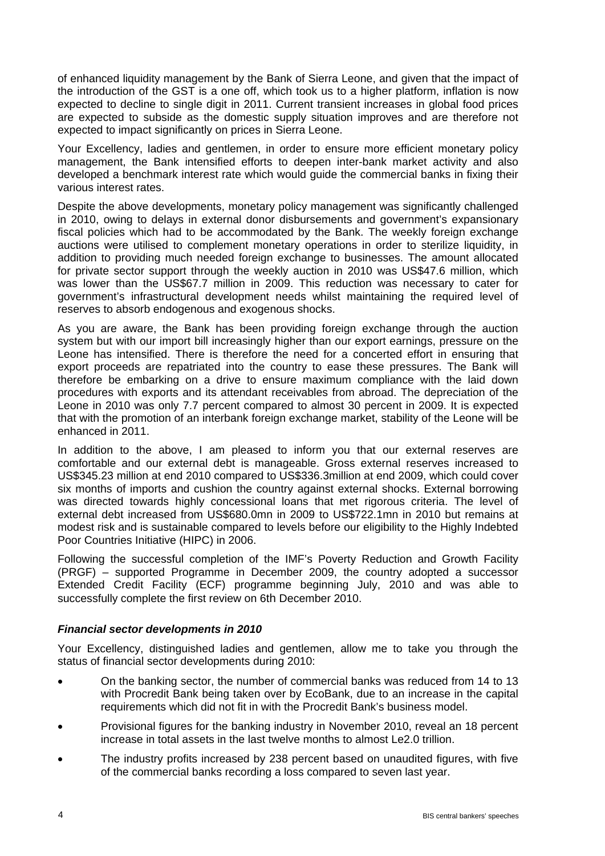of enhanced liquidity management by the Bank of Sierra Leone, and given that the impact of the introduction of the GST is a one off, which took us to a higher platform, inflation is now expected to decline to single digit in 2011. Current transient increases in global food prices are expected to subside as the domestic supply situation improves and are therefore not expected to impact significantly on prices in Sierra Leone.

Your Excellency, ladies and gentlemen, in order to ensure more efficient monetary policy management, the Bank intensified efforts to deepen inter-bank market activity and also developed a benchmark interest rate which would guide the commercial banks in fixing their various interest rates.

Despite the above developments, monetary policy management was significantly challenged in 2010, owing to delays in external donor disbursements and government's expansionary fiscal policies which had to be accommodated by the Bank. The weekly foreign exchange auctions were utilised to complement monetary operations in order to sterilize liquidity, in addition to providing much needed foreign exchange to businesses. The amount allocated for private sector support through the weekly auction in 2010 was US\$47.6 million, which was lower than the US\$67.7 million in 2009. This reduction was necessary to cater for government's infrastructural development needs whilst maintaining the required level of reserves to absorb endogenous and exogenous shocks.

As you are aware, the Bank has been providing foreign exchange through the auction system but with our import bill increasingly higher than our export earnings, pressure on the Leone has intensified. There is therefore the need for a concerted effort in ensuring that export proceeds are repatriated into the country to ease these pressures. The Bank will therefore be embarking on a drive to ensure maximum compliance with the laid down procedures with exports and its attendant receivables from abroad. The depreciation of the Leone in 2010 was only 7.7 percent compared to almost 30 percent in 2009. It is expected that with the promotion of an interbank foreign exchange market, stability of the Leone will be enhanced in 2011.

In addition to the above, I am pleased to inform you that our external reserves are comfortable and our external debt is manageable. Gross external reserves increased to US\$345.23 million at end 2010 compared to US\$336.3million at end 2009, which could cover six months of imports and cushion the country against external shocks. External borrowing was directed towards highly concessional loans that met rigorous criteria. The level of external debt increased from US\$680.0mn in 2009 to US\$722.1mn in 2010 but remains at modest risk and is sustainable compared to levels before our eligibility to the Highly Indebted Poor Countries Initiative (HIPC) in 2006.

Following the successful completion of the IMF's Poverty Reduction and Growth Facility (PRGF) – supported Programme in December 2009, the country adopted a successor Extended Credit Facility (ECF) programme beginning July, 2010 and was able to successfully complete the first review on 6th December 2010.

# *Financial sector developments in 2010*

Your Excellency, distinguished ladies and gentlemen, allow me to take you through the status of financial sector developments during 2010:

- On the banking sector, the number of commercial banks was reduced from 14 to 13 with Procredit Bank being taken over by EcoBank, due to an increase in the capital requirements which did not fit in with the Procredit Bank's business model.
- Provisional figures for the banking industry in November 2010, reveal an 18 percent increase in total assets in the last twelve months to almost Le2.0 trillion.
- The industry profits increased by 238 percent based on unaudited figures, with five of the commercial banks recording a loss compared to seven last year.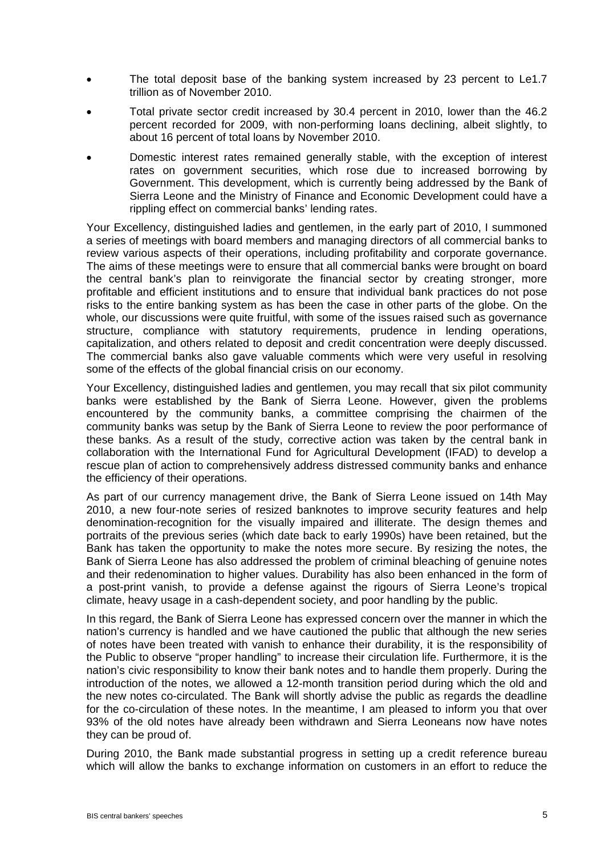- The total deposit base of the banking system increased by 23 percent to Le1.7 trillion as of November 2010.
- Total private sector credit increased by 30.4 percent in 2010, lower than the 46.2 percent recorded for 2009, with non-performing loans declining, albeit slightly, to about 16 percent of total loans by November 2010.
- Domestic interest rates remained generally stable, with the exception of interest rates on government securities, which rose due to increased borrowing by Government. This development, which is currently being addressed by the Bank of Sierra Leone and the Ministry of Finance and Economic Development could have a rippling effect on commercial banks' lending rates.

Your Excellency, distinguished ladies and gentlemen, in the early part of 2010, I summoned a series of meetings with board members and managing directors of all commercial banks to review various aspects of their operations, including profitability and corporate governance. The aims of these meetings were to ensure that all commercial banks were brought on board the central bank's plan to reinvigorate the financial sector by creating stronger, more profitable and efficient institutions and to ensure that individual bank practices do not pose risks to the entire banking system as has been the case in other parts of the globe. On the whole, our discussions were quite fruitful, with some of the issues raised such as governance structure, compliance with statutory requirements, prudence in lending operations, capitalization, and others related to deposit and credit concentration were deeply discussed. The commercial banks also gave valuable comments which were very useful in resolving some of the effects of the global financial crisis on our economy.

Your Excellency, distinguished ladies and gentlemen, you may recall that six pilot community banks were established by the Bank of Sierra Leone. However, given the problems encountered by the community banks, a committee comprising the chairmen of the community banks was setup by the Bank of Sierra Leone to review the poor performance of these banks. As a result of the study, corrective action was taken by the central bank in collaboration with the International Fund for Agricultural Development (IFAD) to develop a rescue plan of action to comprehensively address distressed community banks and enhance the efficiency of their operations.

As part of our currency management drive, the Bank of Sierra Leone issued on 14th May 2010, a new four-note series of resized banknotes to improve security features and help denomination-recognition for the visually impaired and illiterate. The design themes and portraits of the previous series (which date back to early 1990s) have been retained, but the Bank has taken the opportunity to make the notes more secure. By resizing the notes, the Bank of Sierra Leone has also addressed the problem of criminal bleaching of genuine notes and their redenomination to higher values. Durability has also been enhanced in the form of a post-print vanish, to provide a defense against the rigours of Sierra Leone's tropical climate, heavy usage in a cash-dependent society, and poor handling by the public.

In this regard, the Bank of Sierra Leone has expressed concern over the manner in which the nation's currency is handled and we have cautioned the public that although the new series of notes have been treated with vanish to enhance their durability, it is the responsibility of the Public to observe "proper handling" to increase their circulation life. Furthermore, it is the nation's civic responsibility to know their bank notes and to handle them properly. During the introduction of the notes, we allowed a 12-month transition period during which the old and the new notes co-circulated. The Bank will shortly advise the public as regards the deadline for the co-circulation of these notes. In the meantime, I am pleased to inform you that over 93% of the old notes have already been withdrawn and Sierra Leoneans now have notes they can be proud of.

During 2010, the Bank made substantial progress in setting up a credit reference bureau which will allow the banks to exchange information on customers in an effort to reduce the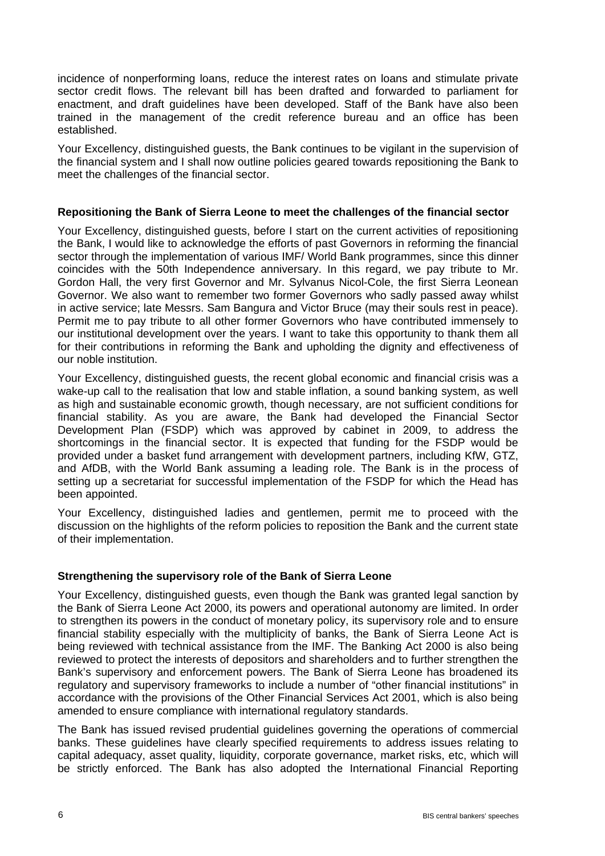incidence of nonperforming loans, reduce the interest rates on loans and stimulate private sector credit flows. The relevant bill has been drafted and forwarded to parliament for enactment, and draft guidelines have been developed. Staff of the Bank have also been trained in the management of the credit reference bureau and an office has been established.

Your Excellency, distinguished guests, the Bank continues to be vigilant in the supervision of the financial system and I shall now outline policies geared towards repositioning the Bank to meet the challenges of the financial sector.

## **Repositioning the Bank of Sierra Leone to meet the challenges of the financial sector**

Your Excellency, distinguished guests, before I start on the current activities of repositioning the Bank, I would like to acknowledge the efforts of past Governors in reforming the financial sector through the implementation of various IMF/ World Bank programmes, since this dinner coincides with the 50th Independence anniversary. In this regard, we pay tribute to Mr. Gordon Hall, the very first Governor and Mr. Sylvanus Nicol-Cole, the first Sierra Leonean Governor. We also want to remember two former Governors who sadly passed away whilst in active service; late Messrs. Sam Bangura and Victor Bruce (may their souls rest in peace). Permit me to pay tribute to all other former Governors who have contributed immensely to our institutional development over the years. I want to take this opportunity to thank them all for their contributions in reforming the Bank and upholding the dignity and effectiveness of our noble institution.

Your Excellency, distinguished guests, the recent global economic and financial crisis was a wake-up call to the realisation that low and stable inflation, a sound banking system, as well as high and sustainable economic growth, though necessary, are not sufficient conditions for financial stability. As you are aware, the Bank had developed the Financial Sector Development Plan (FSDP) which was approved by cabinet in 2009, to address the shortcomings in the financial sector. It is expected that funding for the FSDP would be provided under a basket fund arrangement with development partners, including KfW, GTZ, and AfDB, with the World Bank assuming a leading role. The Bank is in the process of setting up a secretariat for successful implementation of the FSDP for which the Head has been appointed.

Your Excellency, distinguished ladies and gentlemen, permit me to proceed with the discussion on the highlights of the reform policies to reposition the Bank and the current state of their implementation.

# **Strengthening the supervisory role of the Bank of Sierra Leone**

Your Excellency, distinguished guests, even though the Bank was granted legal sanction by the Bank of Sierra Leone Act 2000, its powers and operational autonomy are limited. In order to strengthen its powers in the conduct of monetary policy, its supervisory role and to ensure financial stability especially with the multiplicity of banks, the Bank of Sierra Leone Act is being reviewed with technical assistance from the IMF. The Banking Act 2000 is also being reviewed to protect the interests of depositors and shareholders and to further strengthen the Bank's supervisory and enforcement powers. The Bank of Sierra Leone has broadened its regulatory and supervisory frameworks to include a number of "other financial institutions" in accordance with the provisions of the Other Financial Services Act 2001, which is also being amended to ensure compliance with international regulatory standards.

The Bank has issued revised prudential guidelines governing the operations of commercial banks. These guidelines have clearly specified requirements to address issues relating to capital adequacy, asset quality, liquidity, corporate governance, market risks, etc, which will be strictly enforced. The Bank has also adopted the International Financial Reporting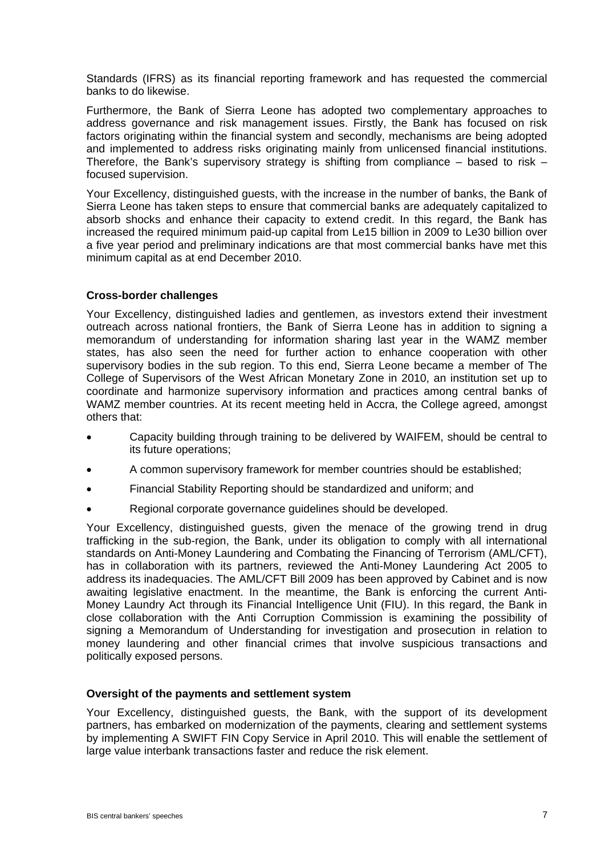Standards (IFRS) as its financial reporting framework and has requested the commercial banks to do likewise.

Furthermore, the Bank of Sierra Leone has adopted two complementary approaches to address governance and risk management issues. Firstly, the Bank has focused on risk factors originating within the financial system and secondly, mechanisms are being adopted and implemented to address risks originating mainly from unlicensed financial institutions. Therefore, the Bank's supervisory strategy is shifting from compliance  $-$  based to risk  $$ focused supervision.

Your Excellency, distinguished guests, with the increase in the number of banks, the Bank of Sierra Leone has taken steps to ensure that commercial banks are adequately capitalized to absorb shocks and enhance their capacity to extend credit. In this regard, the Bank has increased the required minimum paid-up capital from Le15 billion in 2009 to Le30 billion over a five year period and preliminary indications are that most commercial banks have met this minimum capital as at end December 2010.

### **Cross-border challenges**

Your Excellency, distinguished ladies and gentlemen, as investors extend their investment outreach across national frontiers, the Bank of Sierra Leone has in addition to signing a memorandum of understanding for information sharing last year in the WAMZ member states, has also seen the need for further action to enhance cooperation with other supervisory bodies in the sub region. To this end, Sierra Leone became a member of The College of Supervisors of the West African Monetary Zone in 2010, an institution set up to coordinate and harmonize supervisory information and practices among central banks of WAMZ member countries. At its recent meeting held in Accra, the College agreed, amongst others that:

- Capacity building through training to be delivered by WAIFEM, should be central to its future operations;
- A common supervisory framework for member countries should be established;
- Financial Stability Reporting should be standardized and uniform; and
- Regional corporate governance guidelines should be developed.

Your Excellency, distinguished guests, given the menace of the growing trend in drug trafficking in the sub-region, the Bank, under its obligation to comply with all international standards on Anti-Money Laundering and Combating the Financing of Terrorism (AML/CFT), has in collaboration with its partners, reviewed the Anti-Money Laundering Act 2005 to address its inadequacies. The AML/CFT Bill 2009 has been approved by Cabinet and is now awaiting legislative enactment. In the meantime, the Bank is enforcing the current Anti-Money Laundry Act through its Financial Intelligence Unit (FIU). In this regard, the Bank in close collaboration with the Anti Corruption Commission is examining the possibility of signing a Memorandum of Understanding for investigation and prosecution in relation to money laundering and other financial crimes that involve suspicious transactions and politically exposed persons.

#### **Oversight of the payments and settlement system**

Your Excellency, distinguished guests, the Bank, with the support of its development partners, has embarked on modernization of the payments, clearing and settlement systems by implementing A SWIFT FIN Copy Service in April 2010. This will enable the settlement of large value interbank transactions faster and reduce the risk element.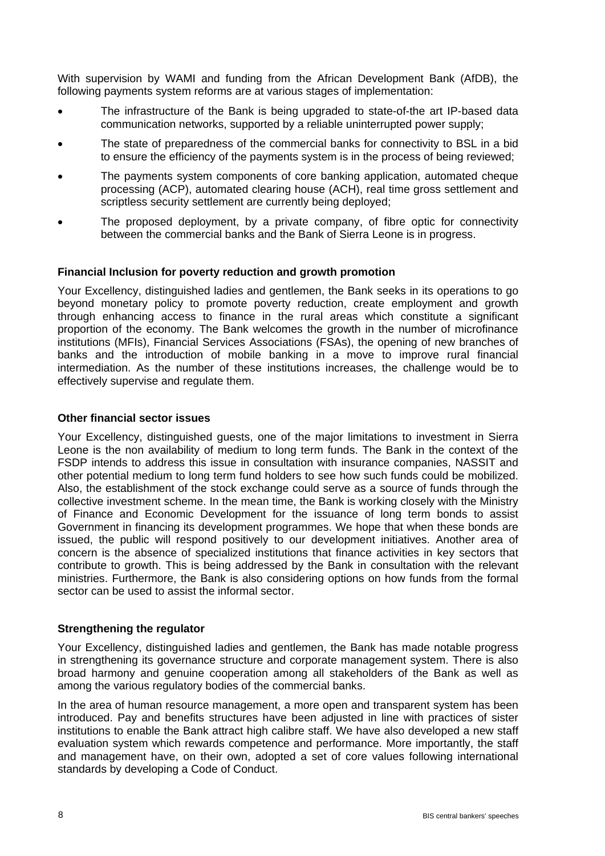With supervision by WAMI and funding from the African Development Bank (AfDB), the following payments system reforms are at various stages of implementation:

- The infrastructure of the Bank is being upgraded to state-of-the art IP-based data communication networks, supported by a reliable uninterrupted power supply;
- The state of preparedness of the commercial banks for connectivity to BSL in a bid to ensure the efficiency of the payments system is in the process of being reviewed;
- The payments system components of core banking application, automated cheque processing (ACP), automated clearing house (ACH), real time gross settlement and scriptless security settlement are currently being deployed;
- The proposed deployment, by a private company, of fibre optic for connectivity between the commercial banks and the Bank of Sierra Leone is in progress.

### **Financial Inclusion for poverty reduction and growth promotion**

Your Excellency, distinguished ladies and gentlemen, the Bank seeks in its operations to go beyond monetary policy to promote poverty reduction, create employment and growth through enhancing access to finance in the rural areas which constitute a significant proportion of the economy. The Bank welcomes the growth in the number of microfinance institutions (MFIs), Financial Services Associations (FSAs), the opening of new branches of banks and the introduction of mobile banking in a move to improve rural financial intermediation. As the number of these institutions increases, the challenge would be to effectively supervise and regulate them.

## **Other financial sector issues**

Your Excellency, distinguished guests, one of the major limitations to investment in Sierra Leone is the non availability of medium to long term funds. The Bank in the context of the FSDP intends to address this issue in consultation with insurance companies, NASSIT and other potential medium to long term fund holders to see how such funds could be mobilized. Also, the establishment of the stock exchange could serve as a source of funds through the collective investment scheme. In the mean time, the Bank is working closely with the Ministry of Finance and Economic Development for the issuance of long term bonds to assist Government in financing its development programmes. We hope that when these bonds are issued, the public will respond positively to our development initiatives. Another area of concern is the absence of specialized institutions that finance activities in key sectors that contribute to growth. This is being addressed by the Bank in consultation with the relevant ministries. Furthermore, the Bank is also considering options on how funds from the formal sector can be used to assist the informal sector.

# **Strengthening the regulator**

Your Excellency, distinguished ladies and gentlemen, the Bank has made notable progress in strengthening its governance structure and corporate management system. There is also broad harmony and genuine cooperation among all stakeholders of the Bank as well as among the various regulatory bodies of the commercial banks.

In the area of human resource management, a more open and transparent system has been introduced. Pay and benefits structures have been adjusted in line with practices of sister institutions to enable the Bank attract high calibre staff. We have also developed a new staff evaluation system which rewards competence and performance. More importantly, the staff and management have, on their own, adopted a set of core values following international standards by developing a Code of Conduct.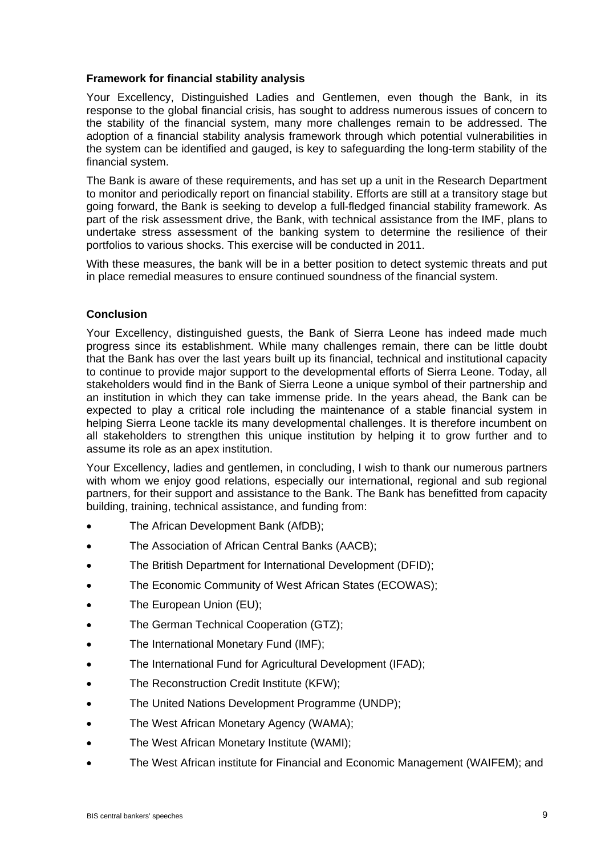### **Framework for financial stability analysis**

Your Excellency, Distinguished Ladies and Gentlemen, even though the Bank, in its response to the global financial crisis, has sought to address numerous issues of concern to the stability of the financial system, many more challenges remain to be addressed. The adoption of a financial stability analysis framework through which potential vulnerabilities in the system can be identified and gauged, is key to safeguarding the long-term stability of the financial system.

The Bank is aware of these requirements, and has set up a unit in the Research Department to monitor and periodically report on financial stability. Efforts are still at a transitory stage but going forward, the Bank is seeking to develop a full-fledged financial stability framework. As part of the risk assessment drive, the Bank, with technical assistance from the IMF, plans to undertake stress assessment of the banking system to determine the resilience of their portfolios to various shocks. This exercise will be conducted in 2011.

With these measures, the bank will be in a better position to detect systemic threats and put in place remedial measures to ensure continued soundness of the financial system.

# **Conclusion**

Your Excellency, distinguished guests, the Bank of Sierra Leone has indeed made much progress since its establishment. While many challenges remain, there can be little doubt that the Bank has over the last years built up its financial, technical and institutional capacity to continue to provide major support to the developmental efforts of Sierra Leone. Today, all stakeholders would find in the Bank of Sierra Leone a unique symbol of their partnership and an institution in which they can take immense pride. In the years ahead, the Bank can be expected to play a critical role including the maintenance of a stable financial system in helping Sierra Leone tackle its many developmental challenges. It is therefore incumbent on all stakeholders to strengthen this unique institution by helping it to grow further and to assume its role as an apex institution.

Your Excellency, ladies and gentlemen, in concluding, I wish to thank our numerous partners with whom we enjoy good relations, especially our international, regional and sub regional partners, for their support and assistance to the Bank. The Bank has benefitted from capacity building, training, technical assistance, and funding from:

- The African Development Bank (AfDB);
- The Association of African Central Banks (AACB);
- The British Department for International Development (DFID);
- The Economic Community of West African States (ECOWAS);
- The European Union (EU);
- The German Technical Cooperation (GTZ);
- The International Monetary Fund (IMF);
- The International Fund for Agricultural Development (IFAD);
- The Reconstruction Credit Institute (KFW);
- The United Nations Development Programme (UNDP);
- The West African Monetary Agency (WAMA);
- The West African Monetary Institute (WAMI);
- The West African institute for Financial and Economic Management (WAIFEM); and